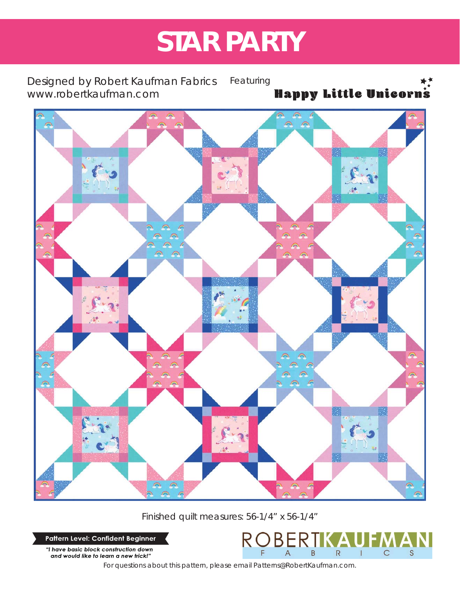# **STAR PARTY**

Designed by Robert Kaufman Fabrics *www.robertkaufman.com*

Featuring Happy Little Unicorn's



Finished quilt measures: 56-1/4" x 56-1/4"

Pattern Level: Confident Beginner

"I have basic block construction down and would like to learn a new trick!"

*For questions about this pattern, please email Patterns@RobertKaufman.com.*

 $R$ 

**BER** 

 $\overline{A}$ 

 $\overline{B}$ 

 $\overline{R}$ 

 $\overline{1}$ 

 $\mathsf{C}$ 

S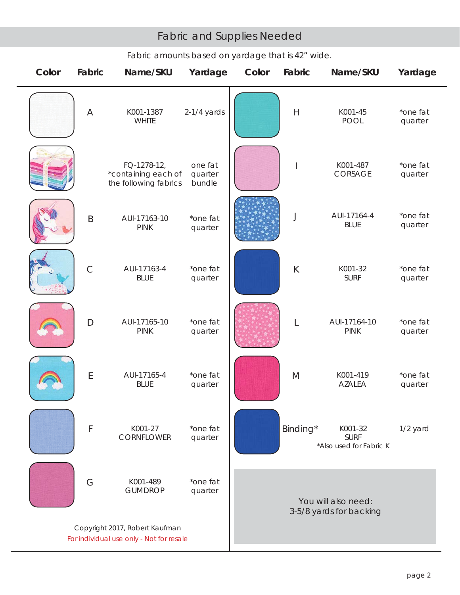# Fabric and Supplies Needed

| Color                                                                      | Fabric       | Name/SKU                                                    | Yardage                      | Color                                          | Fabric       | Name/SKU                                          | Yardage             |
|----------------------------------------------------------------------------|--------------|-------------------------------------------------------------|------------------------------|------------------------------------------------|--------------|---------------------------------------------------|---------------------|
|                                                                            | Α            | K001-1387<br><b>WHITE</b>                                   | $2-1/4$ yards                |                                                | $\mathsf{H}$ | K001-45<br><b>POOL</b>                            | *one fat<br>quarter |
|                                                                            |              | FQ-1278-12,<br>*containing each of<br>the following fabrics | one fat<br>quarter<br>bundle |                                                |              | K001-487<br>CORSAGE                               | *one fat<br>quarter |
|                                                                            | $\mathsf B$  | AUI-17163-10<br><b>PINK</b>                                 | *one fat<br>quarter          |                                                | J            | AUI-17164-4<br><b>BLUE</b>                        | *one fat<br>quarter |
|                                                                            | $\mathsf{C}$ | AUI-17163-4<br><b>BLUE</b>                                  | *one fat<br>quarter          |                                                | $\sf K$      | K001-32<br><b>SURF</b>                            | *one fat<br>quarter |
|                                                                            | $\Box$       | AUI-17165-10<br><b>PINK</b>                                 | *one fat<br>quarter          |                                                | L            | AUI-17164-10<br><b>PINK</b>                       | *one fat<br>quarter |
|                                                                            | E            | AUI-17165-4<br><b>BLUE</b>                                  | *one fat<br>quarter          |                                                | M            | K001-419<br><b>AZALEA</b>                         | *one fat<br>quarter |
|                                                                            | F            | K001-27<br>CORNFLOWER                                       | *one fat<br>quarter          |                                                | Binding*     | K001-32<br><b>SURF</b><br>*Also used for Fabric K | 1/2 yard            |
|                                                                            | G            | K001-489<br><b>GUMDROP</b>                                  | *one fat<br>quarter          | You will also need:<br>3-5/8 yards for backing |              |                                                   |                     |
| Copyright 2017, Robert Kaufman<br>For individual use only - Not for resale |              |                                                             |                              |                                                |              |                                                   |                     |

# *Fabric amounts based on yardage that is 42" wide.*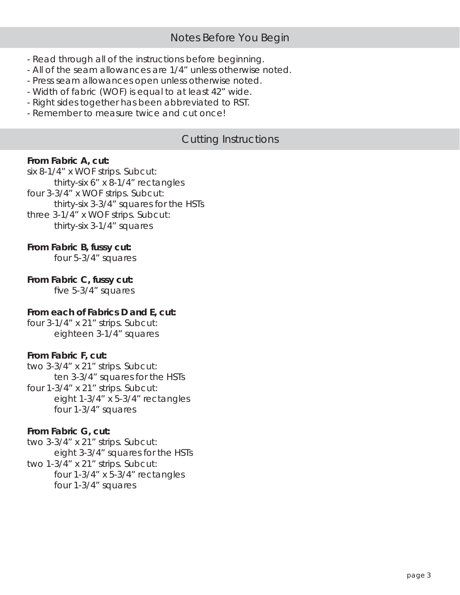- Read through all of the instructions before beginning.
- All of the seam allowances are 1/4" unless otherwise noted.
- Press seam allowances open unless otherwise noted.
- Width of fabric (WOF) is equal to at least 42" wide.
- Right sides together has been abbreviated to RST.
- Remember to measure twice and cut once!

# Cutting Instructions

#### **From Fabric A, cut:**

six 8-1/4" x WOF strips. Subcut: thirty-six 6" x 8-1/4" rectangles four 3-3/4" x WOF strips. Subcut: thirty-six 3-3/4" squares for the HSTs three 3-1/4" x WOF strips. Subcut: thirty-six 3-1/4" squares

#### **From Fabric B, fussy cut:**

four 5-3/4" squares

#### **From Fabric C, fussy cut:**

five  $5-3/4$ " squares

#### **From each of Fabrics D and E, cut:**

four 3-1/4" x 21" strips. Subcut: eighteen 3-1/4" squares

#### **From Fabric F, cut:**

two 3-3/4" x 21" strips. Subcut: ten 3-3/4" squares for the HSTs four 1-3/4" x 21" strips. Subcut:

 eight 1-3/4" x 5-3/4" rectangles four 1-3/4" squares

#### **From Fabric G, cut:**

two 3-3/4" x 21" strips. Subcut: eight 3-3/4" squares for the HSTs two 1-3/4" x 21" strips. Subcut: four 1-3/4" x 5-3/4" rectangles four 1-3/4" squares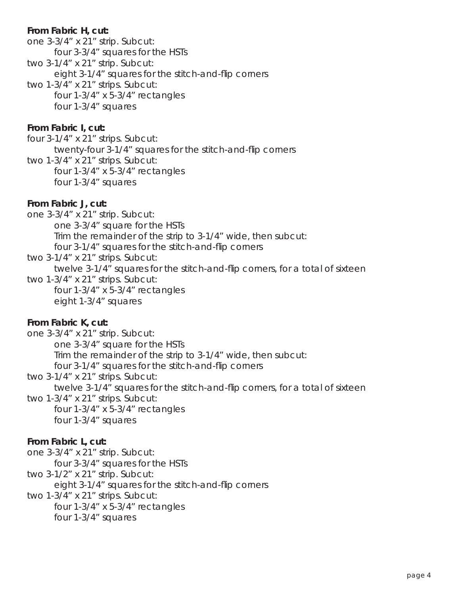#### **From Fabric H, cut:**

- one 3-3/4" x 21" strip. Subcut: four 3-3/4" squares for the HSTs
- two 3-1/4" x 21" strip. Subcut:

eight 3-1/4" squares for the stitch-and-flip corners

two 1-3/4" x 21" strips. Subcut: four 1-3/4" x 5-3/4" rectangles four 1-3/4" squares

#### **From Fabric I, cut:**

four 3-1/4" x 21" strips. Subcut: twenty-four 3-1/4" squares for the stitch-and-flip corners

two 1-3/4" x 21" strips. Subcut: four 1-3/4" x 5-3/4" rectangles four 1-3/4" squares

#### **From Fabric J, cut:**

one 3-3/4" x 21" strip. Subcut: one 3-3/4" square for the HSTs Trim the remainder of the strip to 3-1/4" wide, then subcut: four 3-1/4" squares for the stitch-and-flip corners

two 3-1/4" x 21" strips. Subcut: twelve 3-1/4" squares for the stitch-and-flip corners, for a total of sixteen two 1-3/4" x 21" strips. Subcut:

 four 1-3/4" x 5-3/4" rectangles eight 1-3/4" squares

#### **From Fabric K, cut:**

one 3-3/4" x 21" strip. Subcut: one 3-3/4" square for the HSTs Trim the remainder of the strip to 3-1/4" wide, then subcut: four 3-1/4" squares for the stitch-and-flip corners

two 3-1/4" x 21" strips. Subcut:

twelve 3-1/4" squares for the stitch-and-flip corners, for a total of sixteen

two 1-3/4" x 21" strips. Subcut:

 four 1-3/4" x 5-3/4" rectangles four 1-3/4" squares

#### **From Fabric L, cut:**

- one 3-3/4" x 21" strip. Subcut:
	- four 3-3/4" squares for the HSTs
- two 3-1/2" x 21" strip. Subcut:

eight 3-1/4" squares for the stitch-and-flip corners

two 1-3/4" x 21" strips. Subcut:

 four 1-3/4" x 5-3/4" rectangles four 1-3/4" squares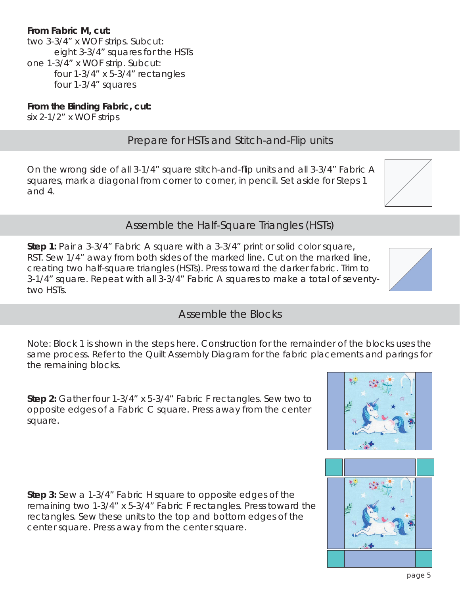### **From Fabric M, cut:**

two 3-3/4" x WOF strips. Subcut: eight 3-3/4" squares for the HSTs one 1-3/4" x WOF strip. Subcut: four 1-3/4" x 5-3/4" rectangles four 1-3/4" squares

**From the Binding Fabric, cut:** six 2-1/2" x WOF strips

## Prepare for HSTs and Stitch-and-Flip units

On the wrong side of all 3-1/4" square stitch-and-flip units and all 3-3/4" Fabric A squares, mark a diagonal from corner to corner, in pencil. Set aside for Steps 1 and 4.

Assemble the Half-Square Triangles (HSTs)

**Step 1:** Pair a 3-3/4" Fabric A square with a 3-3/4" print or solid color square, RST. Sew 1/4" away from both sides of the marked line. Cut on the marked line, creating two half-square triangles (HSTs). Press toward the darker fabric. Trim to 3-1/4" square. Repeat with all 3-3/4" Fabric A squares to make a total of seventytwo HSTs.

*Note: Block 1 is shown in the steps here. Construction for the remainder of the blocks uses the same process. Refer to the Quilt Assembly Diagram for the fabric placements and parings for the remaining blocks.* 

**Step 2:** Gather four 1-3/4" x 5-3/4" Fabric F rectangles. Sew two to opposite edges of a Fabric C square. Press away from the center square.

**Step 3:** Sew a 1-3/4" Fabric H square to opposite edges of the remaining two 1-3/4" x 5-3/4" Fabric F rectangles. Press toward the rectangles. Sew these units to the top and bottom edges of the center square. Press away from the center square.

# Assemble the Blocks





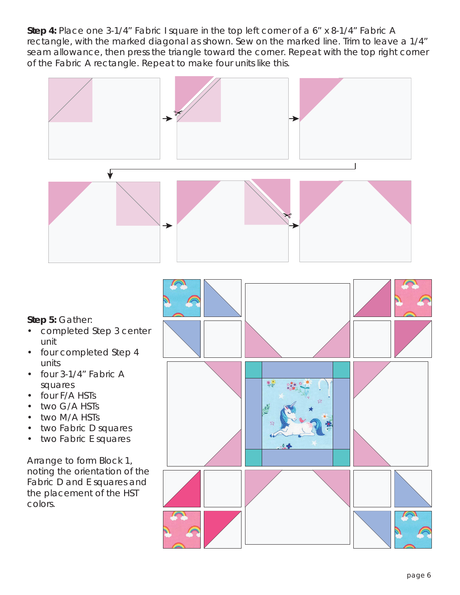**Step 4:** Place one 3-1/4" Fabric I square in the top left corner of a 6" x 8-1/4" Fabric A rectangle, with the marked diagonal as shown. Sew on the marked line. Trim to leave a 1/4" seam allowance, then press the triangle toward the corner. Repeat with the top right corner of the Fabric A rectangle. Repeat to make four units like this.

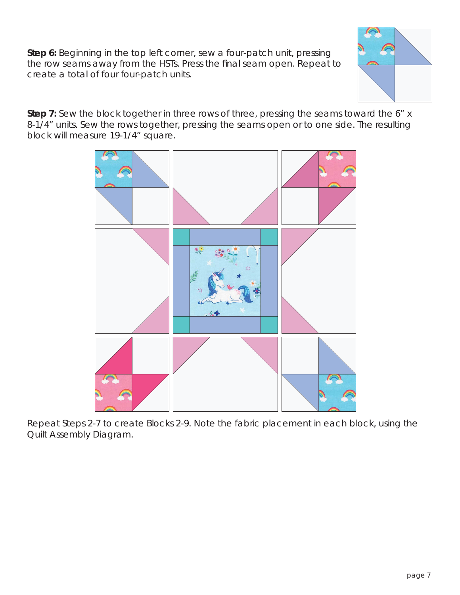**Step 6:** Beginning in the top left corner, sew a four-patch unit, pressing the row seams away from the HSTs. Press the final seam open. Repeat to create a total of four four-patch units.



**Step 7:** Sew the block together in three rows of three, pressing the seams toward the 6" x 8-1/4" units. Sew the rows together, pressing the seams open or to one side. The resulting block will measure 19-1/4" square.



Repeat Steps 2-7 to create Blocks 2-9. Note the fabric placement in each block, using the Quilt Assembly Diagram.